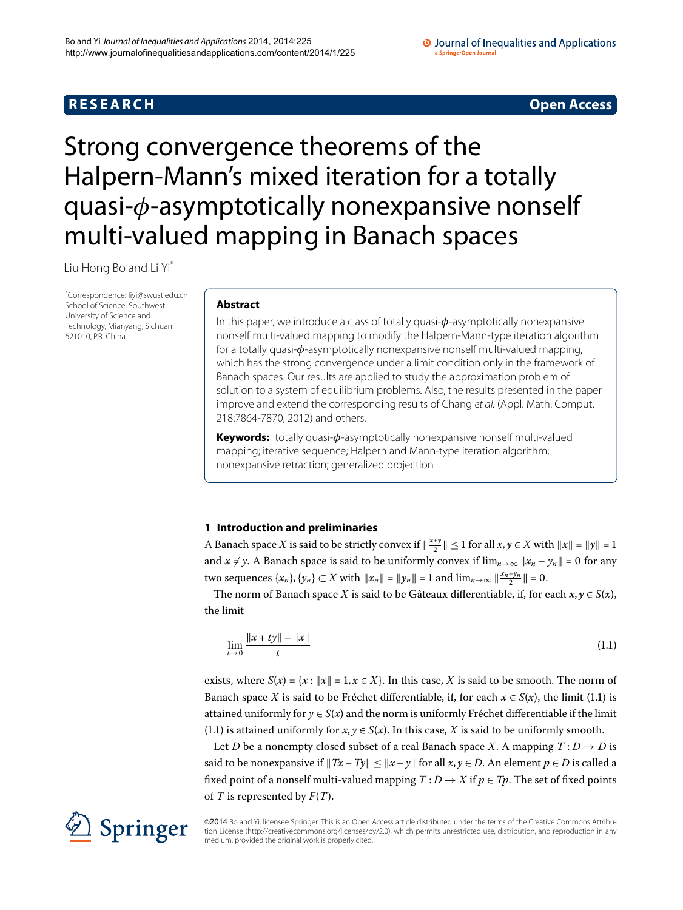## **R E S E A R C H Open Access**

### O Journal of Inequalities and Applications a SpringerOpen Journa

# <span id="page-0-0"></span>Strong convergence theorems of the Halpern-Mann's mixed iteration for a totally quasi-*φ*-asymptotically nonexpansive nonself multi-valued mapping in Banach spaces

Liu Hong Bo and Li Y[i\\*](#page-0-0)

\* Correspondence: [liyi@swust.edu.cn](mailto:liyi@swust.edu.cn) School of Science, Southwest University of Science and Technology, Mianyang, Sichuan 621010, P.R. China

## **Abstract**

In this paper, we introduce a class of totally quasi-*φ*-asymptotically nonexpansive nonself multi-valued mapping to modify the Halpern-Mann-type iteration algorithm for a totally quasi-*φ*-asymptotically nonexpansive nonself multi-valued mapping, which has the strong convergence under a limit condition only in the framework of Banach spaces. Our results are applied to study the approximation problem of solution to a system of equilibrium problems. Also, the results presented in the paper improve and extend the corresponding results of Chang et al. (Appl. Math. Comput. 218:7864-7870, 2012) and others.

**Keywords:** totally quasi-*φ*-asymptotically nonexpansive nonself multi-valued mapping; iterative sequence; Halpern and Mann-type iteration algorithm; nonexpansive retraction; generalized projection

## **1 Introduction and preliminaries**

A Banach space *X* is said to be strictly convex if  $\|\frac{x+y}{2}\| \le 1$  for all  $x, y \in X$  with  $\|x\| = \|y\| = 1$ and  $x \neq y$ . A Banach space is said to be uniformly convex if  $\lim_{n\to\infty} ||x_n - y_n|| = 0$  for any two sequences  $\{x_n\}$ ,  $\{y_n\} \subset X$  with  $||x_n|| = ||y_n|| = 1$  and  $\lim_{n \to \infty} ||\frac{x_n + y_n}{2}|| = 0$ .

The norm of Banach space *X* is said to be Gâteaux differentiable, if, for each  $x, y \in S(x)$ , the limit

<span id="page-0-1"></span>
$$
\lim_{t \to 0} \frac{\|x + ty\| - \|x\|}{t}
$$
\n(1.1)

exists, where  $S(x) = \{x : ||x|| = 1, x \in X\}$ . In this case, X is said to be smooth. The norm of Banach space *X* is said to be Fréchet differentiable, if, for each  $x \in S(x)$ , the limit (1.1) is attained uniformly for  $y \in S(x)$  and the norm is uniformly Fréchet differentiable if the limit (1[.](#page-0-1)1) is attained uniformly for  $x, y \in S(x)$ . In this case, *X* is said to be uniformly smooth.

Let *D* be a nonempty closed subset of a real Banach space *X*. A mapping  $T: D \rightarrow D$  is said to be nonexpansive if  $||Tx - Ty|| \le ||x - y||$  for all  $x, y \in D$ . An element  $p \in D$  is called a fixed point of a nonself multi-valued mapping  $T : D \to X$  if  $p \in Tp$ . The set of fixed points of *T* is represented by *F*(*T*).



©2014 Bo and Yi; licensee Springer. This is an Open Access article distributed under the terms of the Creative Commons Attribution License ([http://creativecommons.org/licenses/by/2.0\)](http://creativecommons.org/licenses/by/2.0), which permits unrestricted use, distribution, and reproduction in any medium, provided the original work is properly cited.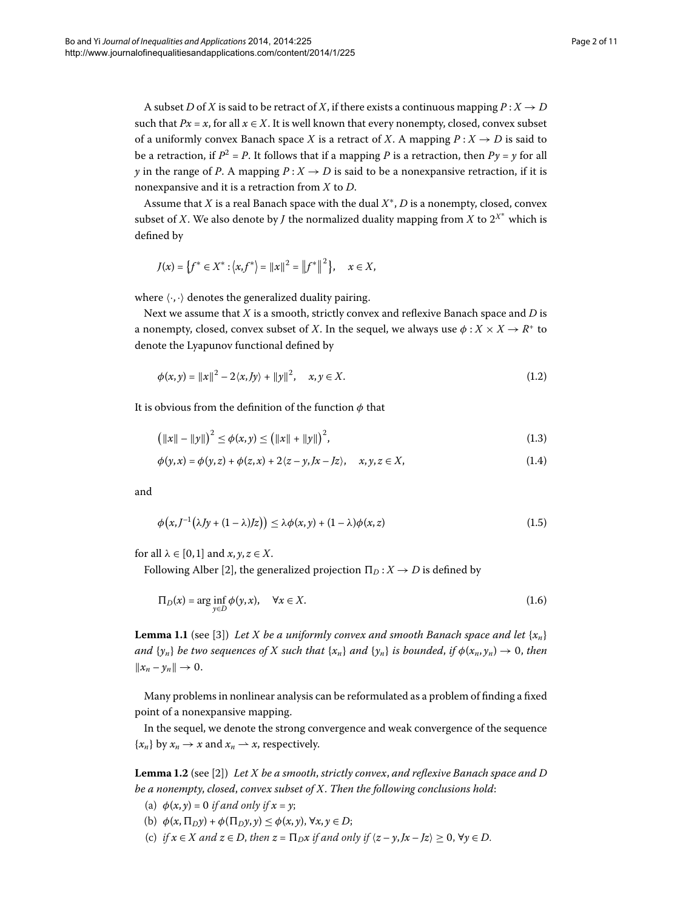A subset *D* of *X* is said to be retract of *X*, if there exists a continuous mapping  $P: X \rightarrow D$ such that  $Px = x$ , for all  $x \in X$ . It is well known that every nonempty, closed, convex subset of a uniformly convex Banach space *X* is a retract of *X*. A mapping  $P: X \rightarrow D$  is said to be a retraction, if  $P^2 = P$ . It follows that if a mapping P is a retraction, then  $Py = \gamma$  for all *y* in the range of *P*. A mapping  $P: X \to D$  is said to be a nonexpansive retraction, if it is nonexpansive and it is a retraction from *X* to *D*.

Assume that *X* is a real Banach space with the dual *X*∗, *D* is a nonempty, closed, convex subset of  $X.$  We also denote by  $J$  the normalized duality mapping from  $X$  to  $2^{X^{\ast}}$  which is defined by

$$
J(x) = \{f^* \in X^* : |x, f^* \rangle = ||x||^2 = ||f^*||^2\}, \quad x \in X,
$$

where  $\langle \cdot, \cdot \rangle$  denotes the generalized duality pairing.

Next we assume that *X* is a smooth, strictly convex and reflexive Banach space and *D* is a nonempty, closed, convex subset of *X*. In the sequel, we always use  $\phi : X \times X \to R^+$  to denote the Lyapunov functional defined by

$$
\phi(x, y) = ||x||^2 - 2\langle x, Jy \rangle + ||y||^2, \quad x, y \in X. \tag{1.2}
$$

It is obvious from the definition of the function *φ* that

<span id="page-1-1"></span>
$$
(\|x\| - \|y\|)^2 \le \phi(x, y) \le (\|x\| + \|y\|)^2,\tag{1.3}
$$

$$
\phi(y,x) = \phi(y,z) + \phi(z,x) + 2\langle z - y, Jx - Jz \rangle, \quad x, y, z \in X,
$$
\n(1.4)

and

<span id="page-1-2"></span>
$$
\phi\big(x, J^{-1}(\lambda Jy + (1 - \lambda)Jz)\big) \le \lambda \phi(x, y) + (1 - \lambda)\phi(x, z) \tag{1.5}
$$

for all  $\lambda \in [0, 1]$  and  $x, y, z \in X$ .

Following Alber [\[](#page-10-0)2], the generalized projection  $\Pi_D : X \to D$  is defined by

$$
\Pi_D(x) = \arg\inf_{y \in D} \phi(y, x), \quad \forall x \in X.
$$
\n(1.6)

**Lemma 1.1** (see [3]) *Let X be a uniformly convex and smooth Banach space and let*  $\{x_n\}$ *and*  $\{y_n\}$  *be two sequences of X such that*  $\{x_n\}$  *and*  $\{y_n\}$  *is bounded, if*  $\phi(x_n, y_n) \to 0$ *, then*  $||x_n - y_n|| \to 0.$ 

<span id="page-1-0"></span>Many problems in nonlinear analysis can be reformulated as a problem of finding a fixed point of a nonexpansive mapping.

In the sequel, we denote the strong convergence and weak convergence of the sequence  ${x_n}$  by  $x_n \to x$  and  $x_n \to x$ , respectively.

**Lemma 1.2** (see [2[\]](#page-10-0)) *Let X be a smooth, strictly convex, and reflexive Banach space and D be a nonempty*, *closed*, *convex subset of X*. *Then the following conclusions hold*:

- (a)  $\phi(x, y) = 0$  *if and only if*  $x = y$ ;
- (b)  $\phi(x, \Pi_D y) + \phi(\Pi_D y, y) \leq \phi(x, y), \forall x, y \in D;$
- (c) *if*  $x \in X$  *and*  $z \in D$ , *then*  $z = \prod_D x$  *if and only if*  $\langle z y, Jx Jz \rangle \ge 0$ ,  $\forall y \in D$ .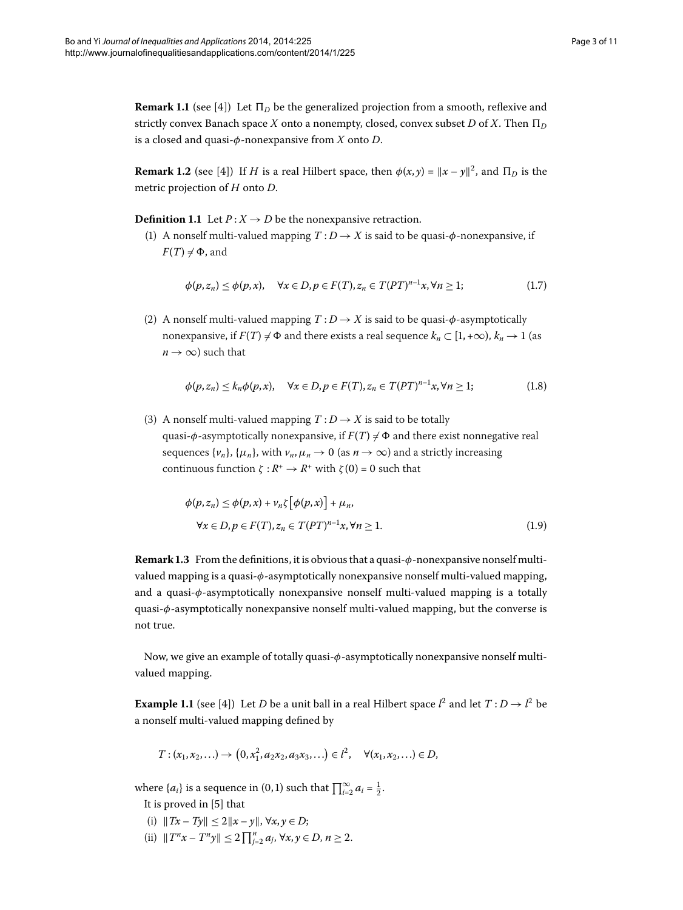<span id="page-2-0"></span>**Remark 1.1** (see [4]) Let  $\Pi_D$  be the generalized projection from a smooth, reflexive and strictly convex Banach space *X* onto a nonempty, closed, convex subset *D* of *X*. Then  $\Pi_D$ is a closed and quasi-*φ*-nonexpansive from *X* onto *D*.

**Remark 1.2** (see [4]) If *H* is a real Hilbert space, then  $\phi(x, y) = \|x - y\|^2$ , and  $\Pi_D$  is the metric projection of *H* onto *D*.

**Definition 1.1** Let  $P: X \to D$  be the nonexpansive retraction.

(1) A nonself multi-valued mapping  $T: D \rightarrow X$  is said to be quasi- $\phi$ -nonexpansive, if  $F(T) \neq \Phi$ , and

$$
\phi(p, z_n) \le \phi(p, x), \quad \forall x \in D, p \in F(T), z_n \in T(PT)^{n-1}x, \forall n \ge 1; \tag{1.7}
$$

(2) A nonself multi-valued mapping  $T: D \rightarrow X$  is said to be quasi- $\phi$ -asymptotically nonexpansive, if  $F(T) \neq \Phi$  and there exists a real sequence  $k_n \subset [1, +\infty)$ ,  $k_n \to 1$  (as  $n \rightarrow \infty$ ) such that

$$
\phi(p, z_n) \le k_n \phi(p, x), \quad \forall x \in D, p \in F(T), z_n \in T(PT)^{n-1}x, \forall n \ge 1; \tag{1.8}
$$

<span id="page-2-1"></span>(3) A nonself multi-valued mapping  $T: D \rightarrow X$  is said to be totally quasi- $\phi$ -asymptotically nonexpansive, if  $F(T) \neq \Phi$  and there exist nonnegative real sequences  $\{v_n\}$ ,  $\{\mu_n\}$ , with  $v_n, \mu_n \to 0$  (as  $n \to \infty$ ) and a strictly increasing continuous function  $\zeta : R^+ \to R^+$  with  $\zeta(0) = 0$  such that

$$
\phi(p, z_n) \le \phi(p, x) + \nu_n \zeta \left[ \phi(p, x) \right] + \mu_n,
$$
  

$$
\forall x \in D, p \in F(T), z_n \in T(PT)^{n-1}x, \forall n \ge 1.
$$
 (1.9)

**Remark .** From the definitions, it is obvious that a quasi-*φ*-nonexpansive nonself multivalued mapping is a quasi-*φ*-asymptotically nonexpansive nonself multi-valued mapping, and a quasi-*φ*-asymptotically nonexpansive nonself multi-valued mapping is a totally quasi-*φ*-asymptotically nonexpansive nonself multi-valued mapping, but the converse is not true.

Now, we give an example of totally quasi-*φ*-asymptotically nonexpansive nonself multivalued mapping.

**Example 1.1** (see [4]) Let *D* be a unit ball in a real Hilbert space  $l^2$  and let  $T: D \rightarrow l^2$  be a nonself multi-valued mapping defined by

$$
T: (x_1, x_2,...) \to (0, x_1^2, a_2x_2, a_3x_3,...) \in l^2, \quad \forall (x_1, x_2,...) \in D,
$$

where  $\{a_i\}$  is a sequence in (0,1) such that  $\prod_{i=2}^{\infty} a_i = \frac{1}{2}$ .

It is proved in  $[5]$  $[5]$  that

- (i)  $||Tx Ty|| \le 2||x y||$ ,  $\forall x, y \in D$ ;
- (ii)  $||T^n x T^n y|| \le 2 \prod_{j=2}^n a_j, \forall x, y \in D, n \ge 2.$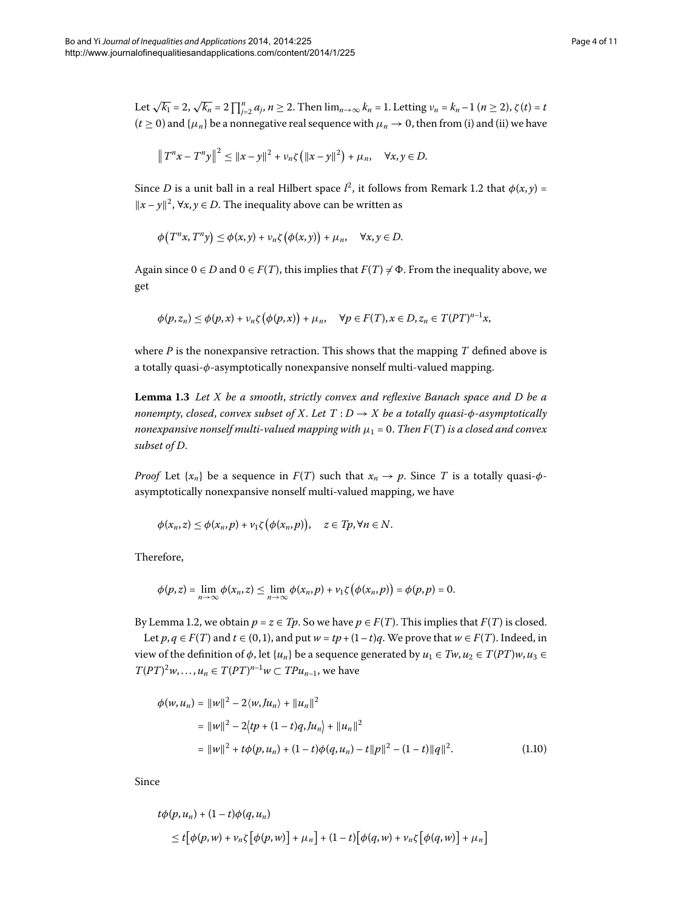Let  $\sqrt{k_1} = 2$ ,  $\sqrt{k_n} = 2 \prod_{j=2}^n a_j$ ,  $n \ge 2$ . Then  $\lim_{n \to \infty} k_n = 1$ . Letting  $v_n = k_n - 1$  ( $n \ge 2$ ),  $\zeta(t) = t$  $(t \ge 0)$  and  $\{\mu_n\}$  be a nonnegative real sequence with  $\mu_n \to 0$ , then from (i) and (ii) we have

$$
||T^{n}x - T^{n}y||^{2} \le ||x - y||^{2} + \nu_{n}\zeta (||x - y||^{2}) + \mu_{n}, \quad \forall x, y \in D.
$$

Since *D* is a unit ball in a real Hilbert space  $l^2$ , it follows from Remark 1[.](#page-2-0)2 that  $\phi(x, y) =$  $||x - y||^2$ , ∀*x*, *y* ∈ *D*. The inequality above can be written as

$$
\phi(T^n x, T^n y) \leq \phi(x, y) + \nu_n \zeta(\phi(x, y)) + \mu_n, \quad \forall x, y \in D.
$$

<span id="page-3-1"></span>Again since  $0 \in D$  and  $0 \in F(T)$ , this implies that  $F(T) \neq \Phi$ . From the inequality above, we get

$$
\phi(p,z_n)\leq \phi(p,x)+\nu_n\zeta\big(\phi(p,x)\big)+\mu_n,\quad \forall p\in F(T), x\in D, z_n\in T(PT)^{n-1}x,
$$

where *P* is the nonexpansive retraction. This shows that the mapping *T* defined above is a totally quasi-*φ*-asymptotically nonexpansive nonself multi-valued mapping.

Lemma 1.3 Let X be a smooth, strictly convex and reflexive Banach space and D be a *nonempty, closed, convex subset of X. Let*  $T : D \rightarrow X$  *be a totally quasi-* $\phi$ *-asymptotically nonexpansive nonself multi-valued mapping with*  $\mu_1 = 0$ . *Then*  $F(T)$  *is a closed and convex subset of D*.

*Proof* Let  $\{x_n\}$  be a sequence in  $F(T)$  such that  $x_n \to p$ . Since *T* is a totally quasi- $\phi$ asymptotically nonexpansive nonself multi-valued mapping, we have

$$
\phi(x_n,z) \leq \phi(x_n,p) + \nu_1 \zeta(\phi(x_n,p)), \quad z \in T_p, \forall n \in N.
$$

Therefore,

$$
\phi(p,z)=\lim_{n\to\infty}\phi(x_n,z)\leq \lim_{n\to\infty}\phi(x_n,p)+\nu_1\zeta\big(\phi(x_n,p)\big)=\phi(p,p)=0.
$$

<span id="page-3-0"></span>By Lemma 1[.](#page-1-0)2, we obtain  $p = z \in T_p$ . So we have  $p \in F(T)$ . This implies that  $F(T)$  is closed.

Let *p*, *q* ∈ *F*(*T*) and *t* ∈ (0, 1), and put *w* = *tp* + (1 − *t*)*q*. We prove that *w* ∈ *F*(*T*). Indeed, in view of the definition of  $\phi$ , let { $u_n$ } be a sequence generated by  $u_1 \in Tw$ ,  $u_2 \in T(PT)w$ ,  $u_3 \in T(PT)w$  $T(PT)^2 w$ ,...,  $u_n \in T(PT)^{n-1} w \subset TP u_{n-1}$ , we have

$$
\phi(w, u_n) = ||w||^2 - 2\langle w, Ju_n \rangle + ||u_n||^2
$$
  
=  $||w||^2 - 2\langle tp + (1-t)q, Ju_n \rangle + ||u_n||^2$   
=  $||w||^2 + t\phi(p, u_n) + (1-t)\phi(q, u_n) - t||p||^2 - (1-t)||q||^2.$  (1.10)

Since

$$
t\phi(p, u_n) + (1 - t)\phi(q, u_n)
$$
  
\n
$$
\leq t[\phi(p, w) + v_n \zeta[\phi(p, w)] + \mu_n] + (1 - t)[\phi(q, w) + v_n \zeta[\phi(q, w)] + \mu_n]
$$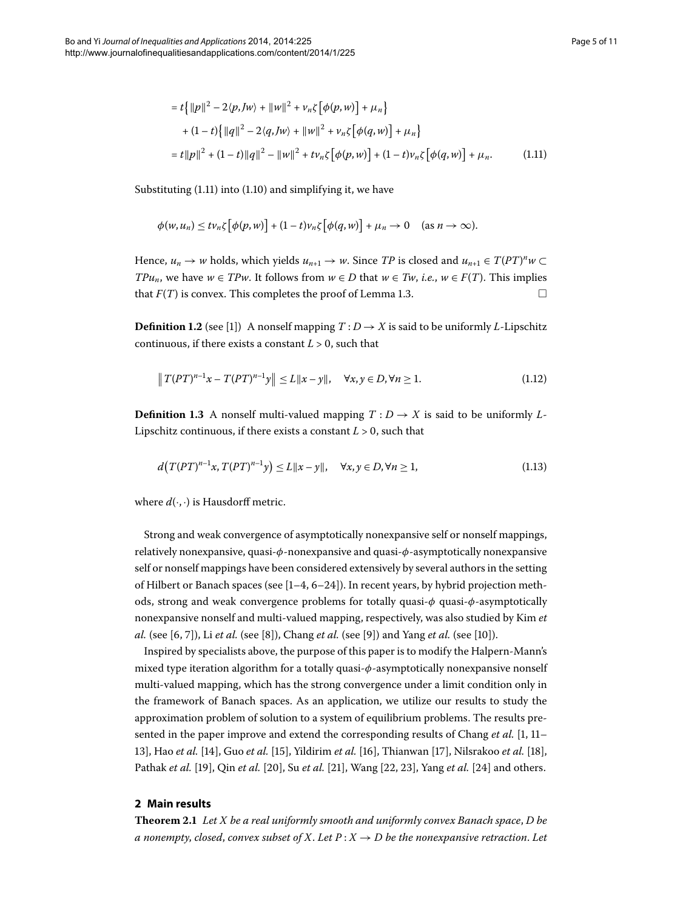<span id="page-4-0"></span>
$$
= t\{ ||p||^2 - 2\langle p, Jw \rangle + ||w||^2 + \nu_n \zeta [\phi(p, w)] + \mu_n \}
$$
  
+ 
$$
(1-t)\{ ||q||^2 - 2\langle q, Jw \rangle + ||w||^2 + \nu_n \zeta [\phi(q, w)] + \mu_n \}
$$
  
= 
$$
t||p||^2 + (1-t)||q||^2 - ||w||^2 + t\nu_n \zeta [\phi(p, w)] + (1-t)\nu_n \zeta [\phi(q, w)] + \mu_n.
$$
 (1.11)

Substituting  $(1.11)$  $(1.11)$  $(1.11)$  into  $(1.10)$  and simplifying it, we have

$$
\phi(w, u_n) \leq tv_n \zeta \big[\phi(p, w)\big] + (1-t)v_n \zeta \big[\phi(q, w)\big] + \mu_n \to 0 \quad \text{ (as } n \to \infty).
$$

Hence,  $u_n \to w$  holds, which yields  $u_{n+1} \to w$ . Since *TP* is closed and  $u_{n+1} \in T(PT)^n w \subset T(PT)^n w$ *TPu<sub>n</sub>*, we have  $w \in TPw$ . It follows from  $w \in D$  that  $w \in Tw$ , *i.e.*,  $w \in F(T)$ . This implies that  $F(T)$  is convex. This completes the proof of Lemma 1.3.

**Definition 1.2** (see [\[](#page-10-4)1]) A nonself mapping  $T: D \rightarrow X$  is said to be uniformly *L*-Lipschitz continuous, if there exists a constant  $L > 0$ , such that

$$
\|T(PT)^{n-1}x - T(PT)^{n-1}y\| \le L\|x - y\|, \quad \forall x, y \in D, \forall n \ge 1.
$$
 (1.12)

**Definition 1.3** A nonself multi-valued mapping  $T: D \rightarrow X$  is said to be uniformly L-Lipschitz continuous, if there exists a constant  $L > 0$ , such that

$$
d(T(PT)^{n-1}x, T(PT)^{n-1}y) \le L||x - y||, \quad \forall x, y \in D, \forall n \ge 1,
$$
\n(1.13)

where  $d(\cdot, \cdot)$  is Hausdorff metric.

Strong and weak convergence of asymptotically nonexpansive self or nonself mappings, relatively nonexpansive, quasi-*φ*-nonexpansive and quasi-*φ*-asymptotically nonexpansive self or nonself mappings have been considered extensively by several authors in the setting of Hilbert or Banach spaces (see  $[1-4, 6-24]$ ). In recent years, by hybrid projection methods, strong and weak convergence problems for totally quasi-*φ* quasi-*φ*-asymptotically nonexpansive nonself and multi-valued mapping, respectively, was also studied by Kim *et al.* (see [6[,](#page-10-5) 7[\]](#page-10-10)), Li *et al.* (see [\[](#page-10-8)8]), Chang *et al.* (see [9]) and Yang *et al.* (see [10]).

<span id="page-4-1"></span>Inspired by specialists above, the purpose of this paper is to modify the Halpern-Mann's mixed type iteration algorithm for a totally quasi-*φ*-asymptotically nonexpansive nonself multi-valued mapping, which has the strong convergence under a limit condition only in the framework of Banach spaces. As an application, we utilize our results to study the approximation problem of solution to a system of equilibrium problems. The results presented in the paper improve and extend the corresponding results of Chang *et al.* [\[](#page-10-4)1, 11– [\]](#page-10-12), Hao *et al.* [\[](#page-10-13)], Guo *et al.* [[\]](#page-10-14), Yildirim *et al.* [\[\]](#page-10-15), Thianwan [], Nilsrakoo *et al.* [[\]](#page-10-17), Pathak *et al.* [19[\]](#page-10-22), Qin *et al.* [20], Su *et al.* [21], Wang [22, 23], Yang *et al.* [24] and others.

## **2 Main results**

**Theorem .** *Let X be a real uniformly smooth and uniformly convex Banach space*, *D be a* nonempty, closed, convex subset of X. Let  $P: X \rightarrow D$  be the nonexpansive retraction. Let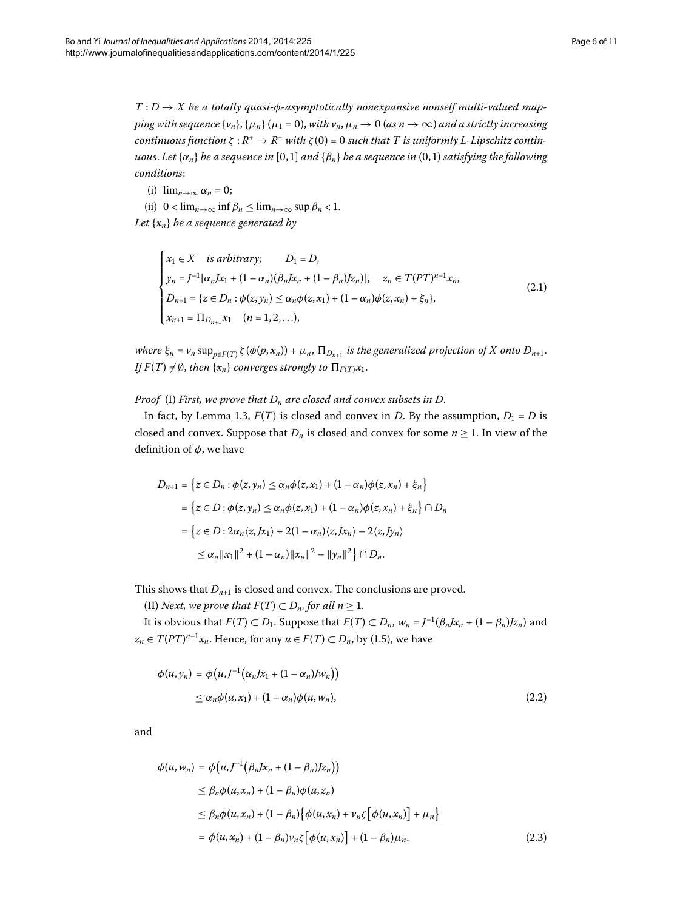$T: D \rightarrow X$  be a totally quasi- $\phi$ -asymptotically nonexpansive nonself multi-valued map*ping with sequence* {*v<sub>n</sub>*}, { $\mu_n$ }( $\mu_1 = 0$ ), *with v<sub>n</sub>*,  $\mu_n \to 0$  (*as n*  $\to \infty$ ) *and a strictly increasing continuous function*  $\zeta : R^+ \to R^+$  *with*  $\zeta(0) = 0$  *such that T is uniformly L-Lipschitz continuous. Let*  $\{\alpha_n\}$  *be a sequence in* [0,1] *and*  $\{\beta_n\}$  *be a sequence in* (0,1) *satisfying the following conditions*:

(i)  $\lim_{n\to\infty} \alpha_n = 0$ ;

(ii)  $0 < \lim_{n \to \infty} \inf \beta_n \le \lim_{n \to \infty} \sup \beta_n < 1$ . *Let* {*xn*} *be a sequence generated by*

<span id="page-5-0"></span>
$$
\begin{cases}\n x_1 \in X & \text{is arbitrary;} \\
 y_n = J^{-1}[\alpha_n J x_1 + (1 - \alpha_n)(\beta_n J x_n + (1 - \beta_n) J z_n)], \quad z_n \in T(PT)^{n-1} x_n, \\
 D_{n+1} = \{ z \in D_n : \phi(z, y_n) \le \alpha_n \phi(z, x_1) + (1 - \alpha_n) \phi(z, x_n) + \xi_n \}, \\
 x_{n+1} = \Pi_{D_{n+1}} x_1 \quad (n = 1, 2, \ldots),\n\end{cases}\n\tag{2.1}
$$

*where*  $\xi_n = v_n \sup_{p \in F(T)} \zeta(\phi(p, x_n)) + \mu_n$ ,  $\Pi_{D_{n+1}}$  *is the generalized projection of X onto*  $D_{n+1}$ *. If*  $F(T) \neq \emptyset$ , *then*  $\{x_n\}$  *converges strongly to*  $\prod_{F(T)} x_1$ *.* 

## *Proof* (I) *First, we prove that Dn are closed and convex subsets in D*.

In fact, by Lemma 1[.](#page-3-1)3,  $F(T)$  is closed and convex in *D*. By the assumption,  $D_1 = D$  is closed and convex. Suppose that  $D_n$  is closed and convex for some  $n \geq 1$ . In view of the definition of *φ*, we have

$$
D_{n+1} = \left\{ z \in D_n : \phi(z, y_n) \le \alpha_n \phi(z, x_1) + (1 - \alpha_n) \phi(z, x_n) + \xi_n \right\}
$$
  
= 
$$
\left\{ z \in D : \phi(z, y_n) \le \alpha_n \phi(z, x_1) + (1 - \alpha_n) \phi(z, x_n) + \xi_n \right\} \cap D_n
$$
  
= 
$$
\left\{ z \in D : 2\alpha_n \langle z, Jx_1 \rangle + 2(1 - \alpha_n) \langle z, Jx_n \rangle - 2 \langle z, Jy_n \rangle \right\}
$$
  

$$
\le \alpha_n ||x_1||^2 + (1 - \alpha_n) ||x_n||^2 - ||y_n||^2 \right\} \cap D_n.
$$

This shows that  $D_{n+1}$  is closed and convex. The conclusions are proved.

(II) *Next, we prove that*  $F(T) \subset D_n$  *for all n*  $\geq 1$ *.* 

It is obvious that  $F(T) \subset D_1$ . Suppose that  $F(T) \subset D_n$ ,  $w_n = J^{-1}(\beta_n Jx_n + (1 - \beta_n)Jz_n)$  and  $z_n \in T(PT)^{n-1}x_n$ . Hence, for any  $u \in F(T) \subset D_n$ , by (1.5), we have

$$
\phi(u, y_n) = \phi\big(u, J^{-1}\big(\alpha_n Jx_1 + (1 - \alpha_n)Jw_n\big)\big)
$$
  
\n
$$
\leq \alpha_n \phi(u, x_1) + (1 - \alpha_n)\phi(u, w_n),
$$
\n(2.2)

and

$$
\phi(u, w_n) = \phi(u, J^{-1}(\beta_n Jx_n + (1 - \beta_n)Jz_n))
$$
  
\n
$$
\leq \beta_n \phi(u, x_n) + (1 - \beta_n) \phi(u, z_n)
$$
  
\n
$$
\leq \beta_n \phi(u, x_n) + (1 - \beta_n) \{\phi(u, x_n) + \nu_n \zeta [\phi(u, x_n)] + \mu_n \}
$$
  
\n
$$
= \phi(u, x_n) + (1 - \beta_n) \nu_n \zeta [\phi(u, x_n)] + (1 - \beta_n) \mu_n.
$$
\n(2.3)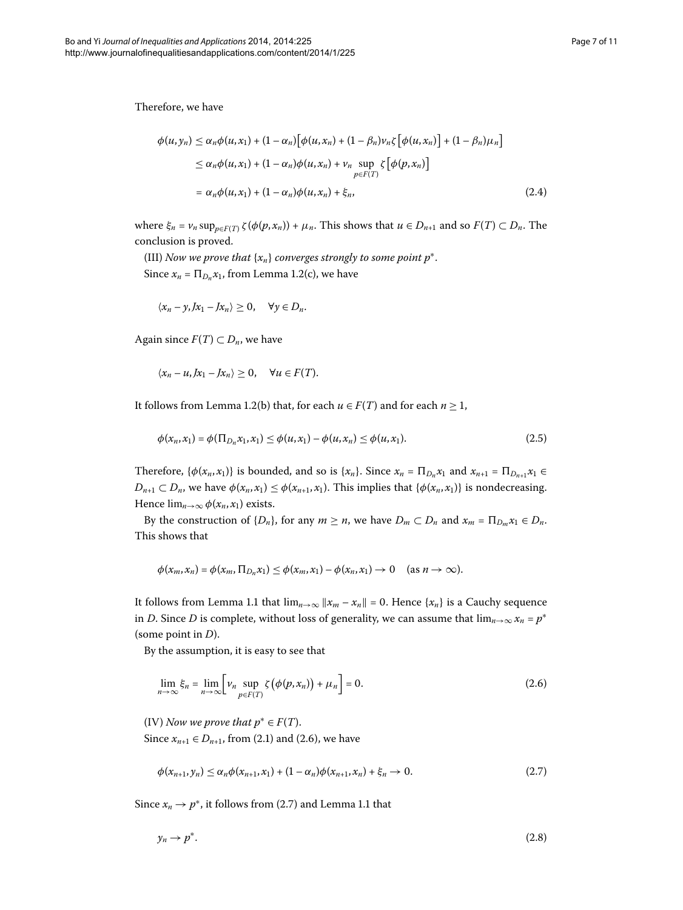Therefore, we have

$$
\phi(u, y_n) \leq \alpha_n \phi(u, x_1) + (1 - \alpha_n) [\phi(u, x_n) + (1 - \beta_n) v_n \zeta [\phi(u, x_n)] + (1 - \beta_n) \mu_n]
$$
  
\n
$$
\leq \alpha_n \phi(u, x_1) + (1 - \alpha_n) \phi(u, x_n) + v_n \sup_{p \in F(T)} \zeta [\phi(p, x_n)]
$$
  
\n
$$
= \alpha_n \phi(u, x_1) + (1 - \alpha_n) \phi(u, x_n) + \xi_n,
$$
\n(2.4)

where  $\xi_n = v_n \sup_{p \in F(T)} \zeta(\phi(p, x_n)) + \mu_n$ . This shows that  $u \in D_{n+1}$  and so  $F(T) \subset D_n$ . The conclusion is proved.

(III) *Now we prove that*  $\{x_n\}$  *converges strongly to some point*  $p^*$ *.* Since  $x_n = \prod_{D_n} x_1$ , from Lemma 1[.](#page-1-0)2(c), we have

$$
\langle x_n-y, Jx_1-Jx_n\rangle\geq 0, \quad \forall y\in D_n.
$$

Again since  $F(T) \subset D_n$ , we have

$$
\langle x_n - u, Jx_1 - Jx_n \rangle \geq 0, \quad \forall u \in F(T).
$$

It follows from Lemma 1[.](#page-1-0)2(b) that, for each  $u \in F(T)$  and for each  $n \ge 1$ ,

$$
\phi(x_n, x_1) = \phi(\Pi_{D_n} x_1, x_1) \le \phi(u, x_1) - \phi(u, x_n) \le \phi(u, x_1). \tag{2.5}
$$

Therefore,  $\{\phi(x_n, x_1)\}$  is bounded, and so is  $\{x_n\}$ . Since  $x_n = \prod_{D_n} x_1$  and  $x_{n+1} = \prod_{D_{n+1}} x_1 \in$  $D_{n+1} \subset D_n$ , we have  $\phi(x_n, x_1) \leq \phi(x_{n+1}, x_1)$ . This implies that  $\{\phi(x_n, x_1)\}$  is nondecreasing. Hence  $\lim_{n\to\infty}\phi(x_n,x_1)$  exists.

By the construction of  $\{D_n\}$ , for any  $m \ge n$ , we have  $D_m \subset D_n$  and  $x_m = \prod_{D_m} x_1 \in D_n$ . This shows that

<span id="page-6-0"></span>
$$
\phi(x_m,x_n)=\phi(x_m,\Pi_{D_n}x_1)\leq \phi(x_m,x_1)-\phi(x_n,x_1)\to 0 \quad (\text{as } n\to\infty).
$$

It follows from Lemma 1[.](#page-1-2)1 that  $\lim_{n\to\infty} ||x_m - x_n|| = 0$ . Hence  $\{x_n\}$  is a Cauchy sequence in *D*. Since *D* is complete, without loss of generality, we can assume that  $\lim_{n\to\infty} x_n = p^*$ (some point in *D*).

By the assumption, it is easy to see that

<span id="page-6-1"></span>
$$
\lim_{n \to \infty} \xi_n = \lim_{n \to \infty} \left[ \nu_n \sup_{p \in F(T)} \zeta \left( \phi(p, x_n) \right) + \mu_n \right] = 0. \tag{2.6}
$$

(IV) *Now we prove that*  $p^* \in F(T)$ *.* 

Since  $x_{n+1}$  ∈  $D_{n+1}$ , from (2[.](#page-6-0)1) and (2.6), we have

<span id="page-6-2"></span>
$$
\phi(x_{n+1}, y_n) \le \alpha_n \phi(x_{n+1}, x_1) + (1 - \alpha_n) \phi(x_{n+1}, x_n) + \xi_n \to 0.
$$
\n(2.7)

Since  $x_n \to p^*$ , it follows from (2[.](#page-1-2)7) and Lemma 1.1 that

$$
y_n \to p^*.\tag{2.8}
$$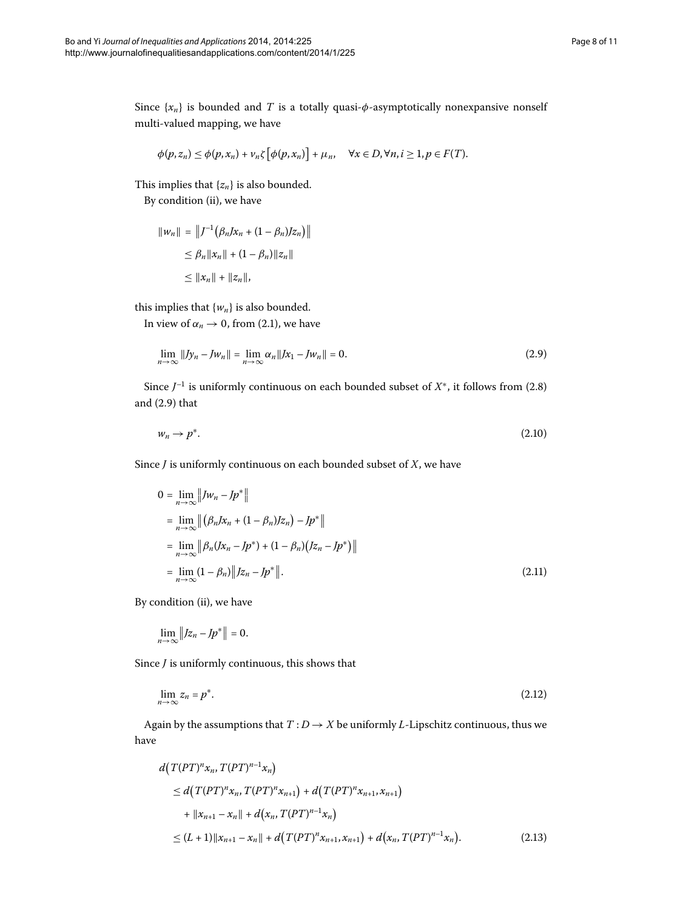Since  $\{x_n\}$  is bounded and *T* is a totally quasi- $\phi$ -asymptotically nonexpansive nonself multi-valued mapping, we have

$$
\phi(p,z_n)\leq \phi(p,x_n)+\nu_n\zeta\big[\phi(p,x_n)\big]+\mu_n,\quad \forall x\in D,\forall n,i\geq 1, p\in F(T).
$$

This implies that  $\{z_n\}$  is also bounded.

By condition (ii), we have

<span id="page-7-0"></span>
$$
||w_n|| = ||f^{-1}(\beta_n Jx_n + (1 - \beta_n)Jz_n)||
$$
  
\n
$$
\leq \beta_n ||x_n|| + (1 - \beta_n) ||z_n||
$$
  
\n
$$
\leq ||x_n|| + ||z_n||,
$$

this implies that  $\{w_n\}$  is also bounded.

In view of  $\alpha_n \to 0$ , from (2.1), we have

$$
\lim_{n \to \infty} \|Jy_n - Jw_n\| = \lim_{n \to \infty} \alpha_n \|Jx_1 - Jw_n\| = 0.
$$
\n(2.9)

Since  $J^{-1}$  is uniformly continuous on each bounded subset of  $X^*$ , it follows from (2[.](#page-6-2)8) and  $(2.9)$  that

$$
w_n \to p^*.\tag{2.10}
$$

Since *J* is uniformly continuous on each bounded subset of *X*, we have

$$
0 = \lim_{n \to \infty} ||Jw_n - Jp^*||
$$
  
\n
$$
= \lim_{n \to \infty} ||(\beta_n Jx_n + (1 - \beta_n)Jz_n) - Jp^*||
$$
  
\n
$$
= \lim_{n \to \infty} ||\beta_n (Jx_n - Jp^*) + (1 - \beta_n) (Jz_n - Jp^*)||
$$
  
\n
$$
= \lim_{n \to \infty} (1 - \beta_n) ||Jz_n - Jp^*||.
$$
\n(2.11)

By condition (ii), we have

$$
\lim_{n\to\infty}||Jz_n-Jp^*||=0.
$$

Since *J* is uniformly continuous, this shows that

$$
\lim_{n \to \infty} z_n = p^*.
$$
\n(2.12)

Again by the assumptions that  $T: D \rightarrow X$  be uniformly *L*-Lipschitz continuous, thus we have

$$
d(T(PT)^{n}x_{n}, T(PT)^{n-1}x_{n})
$$
  
\n
$$
\leq d(T(PT)^{n}x_{n}, T(PT)^{n}x_{n+1}) + d(T(PT)^{n}x_{n+1}, x_{n+1})
$$
  
\n
$$
+ ||x_{n+1} - x_{n}|| + d(x_{n}, T(PT)^{n-1}x_{n})
$$
  
\n
$$
\leq (L+1) ||x_{n+1} - x_{n}|| + d(T(PT)^{n}x_{n+1}, x_{n+1}) + d(x_{n}, T(PT)^{n-1}x_{n}). \tag{2.13}
$$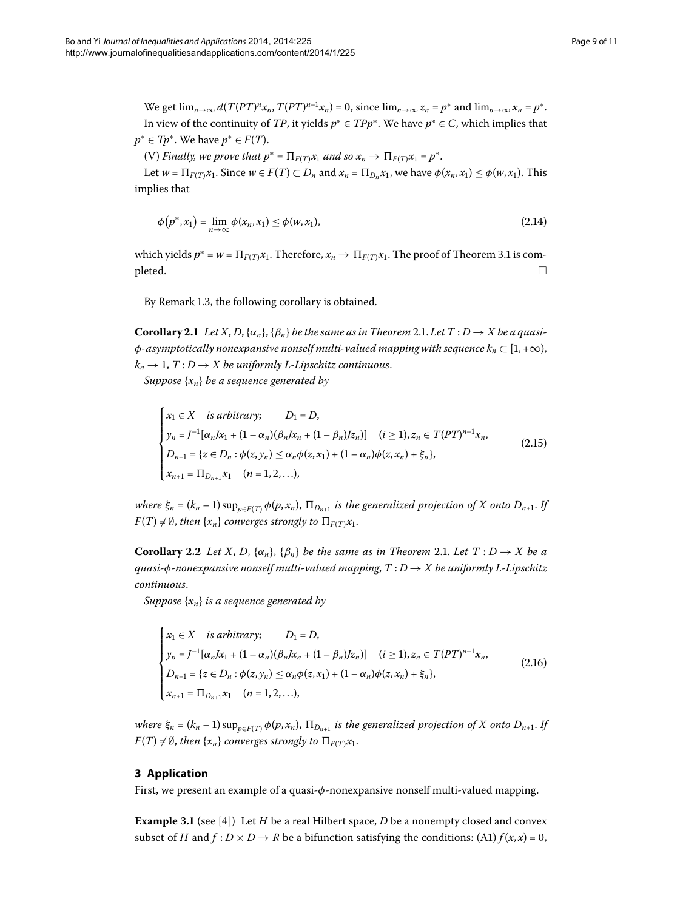We get  $\lim_{n\to\infty} d(T(PT)^n x_n, T(PT)^{n-1} x_n) = 0$ , since  $\lim_{n\to\infty} z_n = p^*$  and  $\lim_{n\to\infty} x_n = p^*$ . In view of the continuity of *TP*, it yields  $p$ <sup>∗</sup> ∈ *TPp*<sup>∗</sup>. We have  $p$ <sup>∗</sup> ∈ *C*, which implies that  $p^* \in Tp^*$ . We have  $p^* \in F(T)$ .

(V) *Finally, we prove that*  $p^* = \prod_{F(T)} x_1$  *and so*  $x_n \to \prod_{F(T)} x_1 = p^*$ .

Let  $w = \prod_{F(T)} x_1$ . Since  $w \in F(T) \subset D_n$  and  $x_n = \prod_{D_n} x_1$ , we have  $\phi(x_n, x_1) \leq \phi(w, x_1)$ . This implies that

$$
\phi(p^*, x_1) = \lim_{n \to \infty} \phi(x_n, x_1) \le \phi(w, x_1),\tag{2.14}
$$

<span id="page-8-0"></span>which yields  $p^* = w = \prod_{F(T)} x_1$ [.](#page-9-0) Therefore,  $x_n \to \prod_{F(T)} x_1$ . The proof of Theorem 3.1 is com- $\Box$ 

By Remark 1.3, the following corollary is obtained.

**Corollary 2.1** Let X, D, { $\alpha_n$ }, { $\beta_n$ } be the same as in Theorem 2.1. Let T : D  $\rightarrow$  X be a quasi- $\phi$ *-asymptotically nonexpansive nonself multi-valued mapping with sequence*  $k_n \subset [1, +\infty)$ ,  $k_n \to 1$ ,  $T: D \to X$  *be uniformly L-Lipschitz continuous.* 

*Suppose* {*xn*} *be a sequence generated by*

$$
\begin{cases}\n x_1 \in X & \text{is arbitrary;} \\
 y_n = J^{-1} [\alpha_n J x_1 + (1 - \alpha_n)(\beta_n J x_n + (1 - \beta_n) J z_n)] & (i \ge 1), z_n \in T (PT)^{n-1} x_n, \\
 D_{n+1} = \{ z \in D_n : \phi(z, y_n) \le \alpha_n \phi(z, x_1) + (1 - \alpha_n) \phi(z, x_n) + \xi_n \}, \\
 x_{n+1} = \Pi_{D_{n+1}} x_1 & (n = 1, 2, \ldots),\n\end{cases}\n\tag{2.15}
$$

*where*  $\xi_n = (k_n - 1) \sup_{p \in F(T)} \phi(p, x_n)$ ,  $\Pi_{D_{n+1}}$  is the generalized projection of X onto  $D_{n+1}$ . If  $F(T) \neq \emptyset$ , *then*  $\{x_n\}$  *converges strongly to*  $\prod_{F(T)} x_1$ *.* 

**Corollary 2[.](#page-4-1)2** Let X, D,  $\{\alpha_n\}$ ,  $\{\beta_n\}$  be the same as in Theorem 2.1. Let  $T: D \to X$  be a *quasi-φ-nonexpansive nonself multi-valued mapping*, *T* : *D* → *X be uniformly L-Lipschitz continuous*.

*Suppose* {*xn*} *is a sequence generated by*

$$
\begin{cases}\n x_1 \in X & \text{is arbitrary;} \\
 y_n = J^{-1} [\alpha_n J x_1 + (1 - \alpha_n) (\beta_n J x_n + (1 - \beta_n) J z_n)] & (i \ge 1), z_n \in T (PT)^{n-1} x_n, \\
 D_{n+1} = \{ z \in D_n : \phi(z, y_n) \le \alpha_n \phi(z, x_1) + (1 - \alpha_n) \phi(z, x_n) + \xi_n \}, \\
 x_{n+1} = \Pi_{D_{n+1}} x_1 & (n = 1, 2, \ldots),\n\end{cases}\n\tag{2.16}
$$

<span id="page-8-1"></span>*where*  $\xi_n = (k_n - 1) \sup_{p \in F(T)} \phi(p, x_n)$ ,  $\Pi_{D_{n+1}}$  *is the generalized projection of X onto*  $D_{n+1}$ *. If*  $F(T) \neq \emptyset$ , *then* {*x<sub>n</sub>*} *converges strongly to*  $\Pi_{F(T)}x_1$ *.* 

## **3 Application**

First, we present an example of a quasi-*φ*-nonexpansive nonself multi-valued mapping.

**Example 3.1** (see [4[\]](#page-10-2)) Let *H* be a real Hilbert space, *D* be a nonempty closed and convex subset of *H* and  $f : D \times D \rightarrow R$  be a bifunction satisfying the conditions: (A1)  $f(x, x) = 0$ ,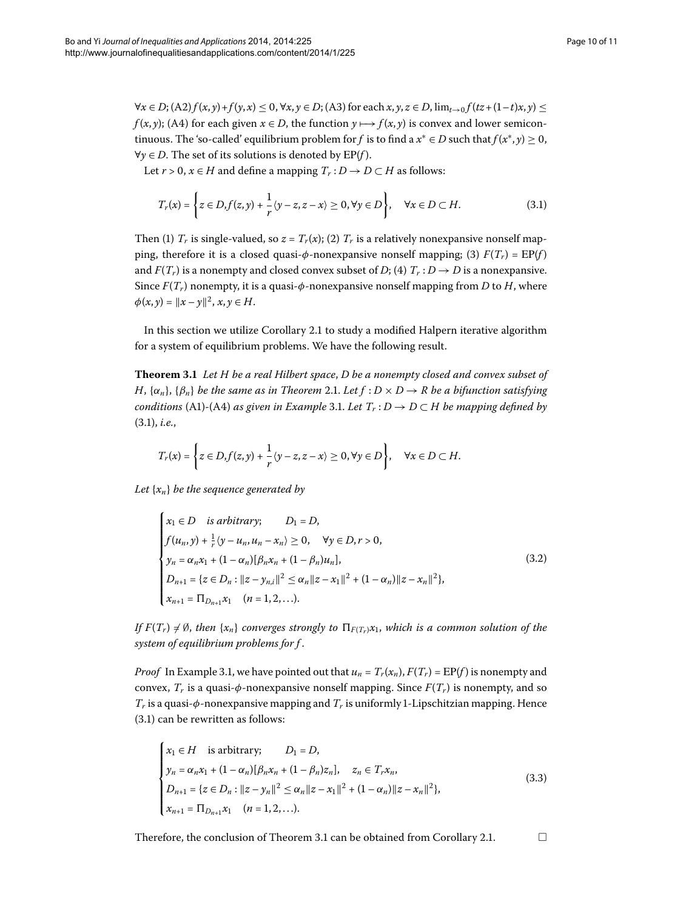$\forall x \in D$ ; (A2)  $f(x, y) + f(y, x) \le 0$ ,  $\forall x, y \in D$ ; (A3) for each  $x, y, z \in D$ ,  $\lim_{t \to 0} f(tz + (1-t)x, y) \le$ *f*(*x*, *y*); (A4) for each given  $x \in D$ , the function  $y \mapsto f(x, y)$  is convex and lower semicontinuous. The 'so-called' equilibrium problem for *f* is to find a  $x^* \in D$  such that  $f(x^*, y) \ge 0$ , ∀*y* ∈ *D*. The set of its solutions is denoted by EP(*f* ).

Let *r* > 0, *x* ∈ *H* and define a mapping  $T_r$  : *D* → *D* ⊂ *H* as follows:

<span id="page-9-1"></span>
$$
T_r(x) = \left\{ z \in D, f(z, y) + \frac{1}{r} \langle y - z, z - x \rangle \ge 0, \forall y \in D \right\}, \quad \forall x \in D \subset H.
$$
 (3.1)

<span id="page-9-0"></span>Then (1)  $T_r$  is single-valued, so  $z = T_r(x)$ ; (2)  $T_r$  is a relatively nonexpansive nonself mapping, therefore it is a closed quasi- $\phi$ -nonexpansive nonself mapping; (3)  $F(T_r) = \text{EP}(f)$ and  $F(T_r)$  is a nonempty and closed convex subset of *D*; (4)  $T_r : D \to D$  is a nonexpansive. Since  $F(T_r)$  nonempty, it is a quasi- $\phi$ -nonexpansive nonself mapping from *D* to *H*, where  $\phi(x, y) = \|x - y\|^2, x, y \in H.$ 

In this section we utilize Corollary 2[.](#page-8-0)1 to study a modified Halpern iterative algorithm for a system of equilibrium problems. We have the following result.

**Theorem .** *Let H be a real Hilbert space*, *D be a nonempty closed and convex subset of H*,  $\{\alpha_n\}$ ,  $\{\beta_n\}$  *be the same as in Theorem* 2.1. Let  $f : D \times D \to R$  *be a bifunction satisfying conditions* (A1)-(A4) *as given in Example* 3.1. Let  $T_r : D \to D \subset H$  *be mapping defined by*  $(3.1)$  $(3.1)$  $(3.1)$ , *i.e.*,

$$
T_r(x) = \left\{ z \in D, f(z, y) + \frac{1}{r} \langle y - z, z - x \rangle \ge 0, \forall y \in D \right\}, \quad \forall x \in D \subset H.
$$

*Let* {*xn*} *be the sequence generated by*

$$
\begin{cases}\nx_1 \in D & \text{is arbitrary;} \quad D_1 = D, \\
f(u_n, y) + \frac{1}{r}(y - u_n, u_n - x_n) \ge 0, \quad \forall y \in D, r > 0, \\
y_n = \alpha_n x_1 + (1 - \alpha_n)[\beta_n x_n + (1 - \beta_n)u_n], \\
D_{n+1} = \{z \in D_n : ||z - y_{n,i}||^2 \le \alpha_n ||z - x_1||^2 + (1 - \alpha_n) ||z - x_n||^2\}, \\
x_{n+1} = \Pi_{D_{n+1}} x_1 \quad (n = 1, 2, \dots).\n\end{cases} \tag{3.2}
$$

*If*  $F(T_r) \neq \emptyset$ , *then*  $\{x_n\}$  *converges strongly to*  $\prod_{F(T_r)} x_1$ *, which is a common solution of the system of equilibrium problems for f* .

*Proof* In Example 3.1, we have pointed out that  $u_n = T_r(x_n)$ ,  $F(T_r) = \text{EP}(f)$  is nonempty and convex,  $T_r$  is a quasi- $\phi$ -nonexpansive nonself mapping. Since  $F(T_r)$  is nonempty, and so  $T_r$  is a quasi- $\phi$ -nonexpansive mapping and  $T_r$  is uniformly 1-Lipschitzian mapping. Hence  $(3.1)$  $(3.1)$  $(3.1)$  can be rewritten as follows:

$$
\begin{cases}\n x_1 \in H & \text{is arbitrary;} \\
 y_n = \alpha_n x_1 + (1 - \alpha_n) [\beta_n x_n + (1 - \beta_n) z_n], \quad z_n \in T_r x_n, \\
 D_{n+1} = \{ z \in D_n : ||z - y_n||^2 \le \alpha_n ||z - x_1||^2 + (1 - \alpha_n) ||z - x_n||^2 \}, \\
 x_{n+1} = \Pi_{D_{n+1}} x_1 \quad (n = 1, 2, \dots).\n\end{cases} \tag{3.3}
$$

Therefore, the conclusion of Theorem 3[.](#page-8-0)1 can be obtained from Corollary 2.1.  $\Box$